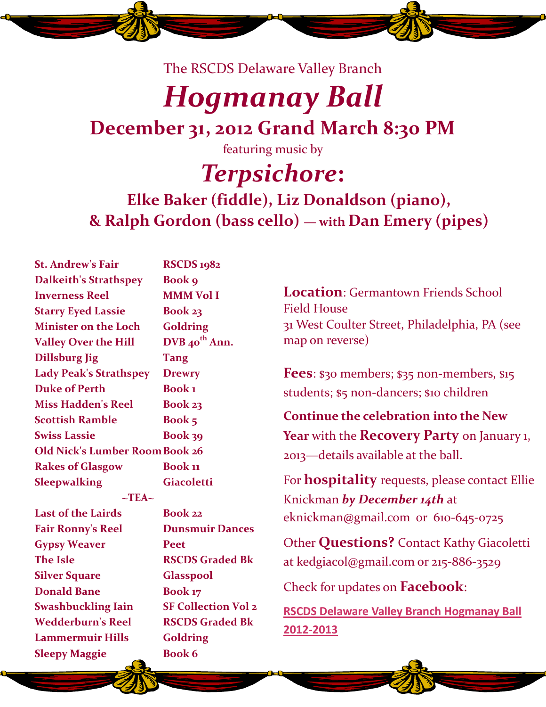The RSCDS Delaware Valley Branch

## *Hogmanay Ball*

### **December 31, 2012 Grand March 8:30 PM**

featuring music by

### *Terpsichore***:**

### **Elke Baker (fiddle), Liz Donaldson (piano), & Ralph Gordon (bass cello) — with Dan Emery (pipes)**

**St. Andrew's Fair RSCDS 1982 Dalkeith's Strathspey Book 9 Inverness Reel MMM Vol I Starry Eyed Lassie Book 23 Minister on the Loch Goldring Valley Over the Hill DVB 40th Ann. Dillsburg Jig Tang Lady Peak's Strathspey Drewry Duke of Perth Book 1 Miss Hadden's Reel Book 23 Scottish Ramble Book 5 Swiss Lassie Book 39 Old Nick's Lumber RoomBook 26 Rakes of Glasgow Book 11 Sleepwalking Giacoletti**  $\sim$ TEA $\sim$ **Last of the Lairds Book 22 Fair Ronny's Reel Dunsmuir Dances Gypsy Weaver Peet The Isle RSCDS Graded Bk Silver Square Glasspool**

**Sleepy Maggie Book 6**

**Donald Bane Book 17 Swashbuckling Iain SF Collection Vol 2 Wedderburn's Reel RSCDS Graded Bk Lammermuir Hills Goldring** 

**Location**: Germantown Friends School Field House 31 West Coulter Street, Philadelphia, PA (see map on reverse)

**Fees**: \$30 members; \$35 non-members, \$15 students; \$5 non-dancers; \$10 children

**Continue the celebration into the New Year** with the **Recovery Party** on January 1, 2013—details available at the ball.

For **hospitality** requests, please contact Ellie Knickman *by December 14th* at eknickman@gmail.com or 610-645-0725

Other **Questions?** Contact Kathy Giacoletti at kedgiacol@gmail.com or 215-886-3529

Check for updates on **Facebook**:

**RSCDS Delaware Valley Branch Hogmanay Ball 2012-2013**